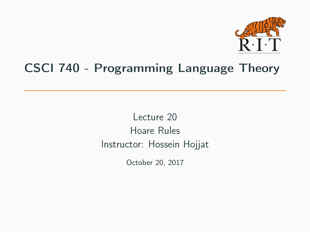

# CSCI 740 - Programming Language Theory

Lecture 20 Hoare Rules Instructor: Hossein Hojjat

October 20, 2017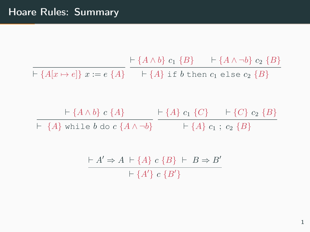$\vdash \{A[x \mapsto e]\} \ x := e \ \{A\} \quad \quad \vdash \{A\} \text{ if } b \text{ then } c_1 \text{ else } c_2 \ \{B\}$  $\vdash$  {A ∧ b} c<sub>1</sub> {B}  $\vdash$  {A ∧ ¬b} c<sub>2</sub> {B}

 $\vdash \{A \land b\} \ c \ \{A\} \qquad \vdash \{A\} \ c_1 \ \{C\} \qquad \vdash \{C\} \ c_2 \ \{B\}$  $\vdash \ \{A\}$  while  $b$  do  $c$   $\{A \wedge \neg b\}$   $\qquad \vdash \{A\} \ c_1 \; ; \; c_2 \; \{B\}$ 

$$
\frac{\vdash A' \Rightarrow A \vdash \{A\} \ c \ \{B\} \vdash B \Rightarrow B'}{\vdash \{A'\} \ c \ \{B'\}}
$$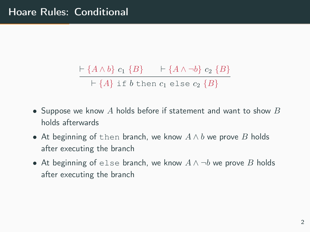$$
\frac{\vdash \{A \land b\} \ c_1 \ \{B\} \qquad \vdash \{A \land \neg b\} \ c_2 \ \{B\}}{\vdash \{A\} \text{ if } b \text{ then } c_1 \text{ else } c_2 \ \{B\}}
$$

- Suppose we know  $A$  holds before if statement and want to show  $B$ holds afterwards
- At beginning of then branch, we know  $A \wedge b$  we prove B holds after executing the branch
- At beginning of else branch, we know  $A \wedge \neg b$  we prove B holds after executing the branch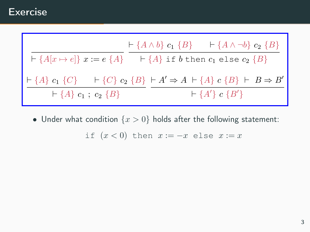

• Under what condition  $\{x > 0\}$  holds after the following statement:

if  $(x < 0)$  then  $x := -x$  else  $x := x$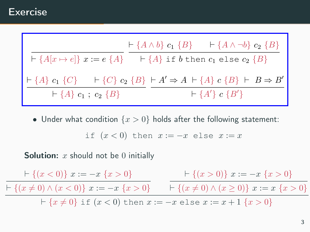$$
\vdash \{A[x \mapsto e]\} \ x := e \{A\} \ \xrightarrow{\vdash} \{A \wedge b\} \ c_1 \{B\} \ \xrightarrow{\vdash} \{A \wedge \neg b\} \ c_2 \{B\}
$$
\n
$$
\vdash \{A\} \ c_1 \{C\} \ \vdash \{C\} \ c_2 \{B\} \ \xrightarrow{\vdash} A' \Rightarrow A \vdash \{A\} \ c \{B\} \ \vdash B \Rightarrow B'
$$
\n
$$
\vdash \{A\} \ c_1 \ ; \ c_2 \{B\} \ \xrightarrow{\vdash} A' \Rightarrow A \vdash \{A\} \ c \{B\} \ \vdash B \Rightarrow B'
$$

• Under what condition  $\{x > 0\}$  holds after the following statement:

if 
$$
(x < 0)
$$
 then  $x := -x$  else  $x := x$ 

**Solution:**  $x$  should not be 0 initially

 $\vdash \{(x < 0)\}\ x := -x \{x > 0\}$  $\vdash \{(x \neq 0) \land (x < 0)\}\ x := -x \{x > 0\}$   $\qquad \vdash \{(x \neq 0) \land (x \geq 0)\}\ x := x \{x > 0\}$  $\vdash \{(x > 0)\}\ x := -x\ \{x > 0\}$  ${+}$  { $x \neq 0$ } if  $(x < 0)$  then  $x := -x$  else  $x := x + 1$  { $x > 0$ }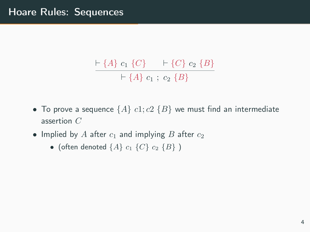$$
\frac{\vdash \{A\} c_1 \{C\} \quad \vdash \{C\} c_2 \{B\}}{\vdash \{A\} c_1 ; c_2 \{B\}}
$$

- To prove a sequence  $\{A\}$   $c1$ ;  $c2$   $\{B\}$  we must find an intermediate assertion C
- Implied by A after  $c_1$  and implying B after  $c_2$ 
	- (often denoted  $\{A\}$   $c_1$   $\{C\}$   $c_2$   $\{B\}$ )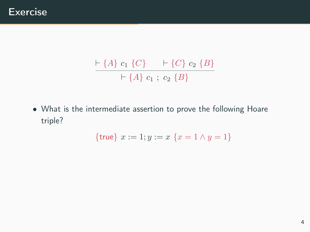$$
\frac{\vdash \{A\} c_1 \{C\} \quad \vdash \{C\} c_2 \{B\}}{\vdash \{A\} c_1 ; c_2 \{B\}}
$$

• What is the intermediate assertion to prove the following Hoare triple?

$$
{\rm true} \} x := 1; y := x \{x = 1 \land y = 1\}
$$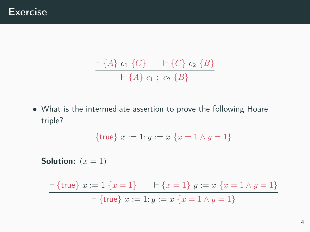$$
\frac{\vdash \{A\} c_1 \{C\} \quad \vdash \{C\} c_2 \{B\}}{\vdash \{A\} c_1 ; c_2 \{B\}}
$$

• What is the intermediate assertion to prove the following Hoare triple?

$$
{\rm true} \, x := 1; y := x \, \{x = 1 \land y = 1\}
$$

Solution:  $(x = 1)$  $\vdash$  {true}  $x := 1$  { $x = 1$ }  $\qquad \vdash$  { $x = 1$ }  $y := x$  { $x = 1 \land y = 1$ }  $\vdash$  {true}  $x := 1; y := x$  { $x = 1 \land y = 1$ }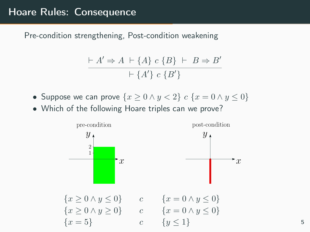$$
\frac{\vdash A' \Rightarrow A \vdash \{A\} \ c \ \{B\} \vdash B \Rightarrow B'}{\vdash \{A'\} \ c \ \{B'\}}
$$

- Suppose we can prove  $\{x \geq 0 \land y < 2\}$   $c \{x = 0 \land y \leq 0\}$
- Which of the following Hoare triples can we prove?

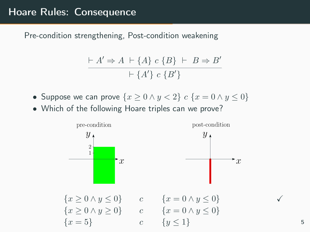$$
\frac{\vdash A' \Rightarrow A \vdash \{A\} \ c \ \{B\} \vdash B \Rightarrow B'}{\vdash \{A'\} \ c \ \{B'\}}
$$

- Suppose we can prove  $\{x \geq 0 \land y < 2\}$   $c \{x = 0 \land y \leq 0\}$
- Which of the following Hoare triples can we prove?

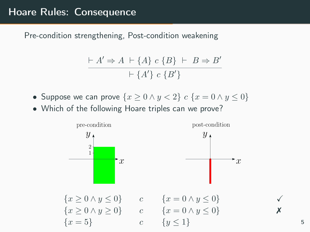$$
\frac{\vdash A' \Rightarrow A \vdash \{A\} \ c \ \{B\} \vdash B \Rightarrow B'}{\vdash \{A'\} \ c \ \{B'\}}
$$

- Suppose we can prove  $\{x \geq 0 \land y < 2\}$   $c \{x = 0 \land y \leq 0\}$
- Which of the following Hoare triples can we prove?

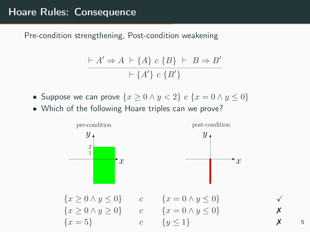$$
\frac{\vdash A' \Rightarrow A \vdash \{A\} \ c \ \{B\} \vdash B \Rightarrow B'}{\vdash \{A'\} \ c \ \{B'\}}
$$

- Suppose we can prove  $\{x \geq 0 \land y < 2\}$   $c \{x = 0 \land y \leq 0\}$
- Which of the following Hoare triples can we prove?

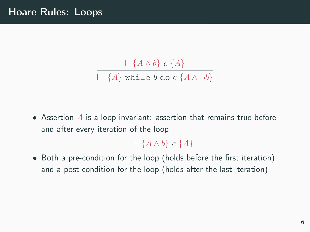$\vdash$  {A  $\land$  b} c {A}  $\overline{\vdash$  {A} while b do c {A \ \ -b}

• Assertion  $A$  is a loop invariant: assertion that remains true before and after every iteration of the loop

 $\vdash$  {A  $\wedge$  b} c {A}

• Both a pre-condition for the loop (holds before the first iteration) and a post-condition for the loop (holds after the last iteration)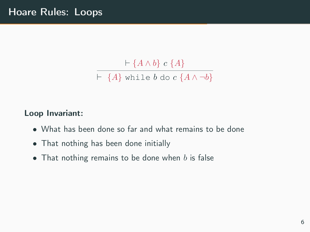$$
\frac{\vdash \{A \land b\} \ c \ \{A\}}{\vdash \ \{A\} \ \text{while } b \ \text{do } c \ \{A \land \neg b\}}
$$

#### Loop Invariant:

- What has been done so far and what remains to be done
- That nothing has been done initially
- That nothing remains to be done when  $b$  is false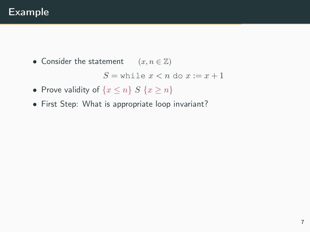## Example

• Consider the statement  $(x, n \in \mathbb{Z})$ 

 $S =$  while  $x < n$  do  $x := x + 1$ 

- Prove validity of  $\{x \leq n\}$   $S \{x \geq n\}$
- First Step: What is appropriate loop invariant?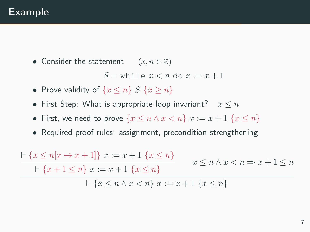### Example

• Consider the statement  $(x, n \in \mathbb{Z})$ 

 $S =$  while  $x < n$  do  $x := x + 1$ 

- Prove validity of  $\{x \leq n\}$   $S \{x \geq n\}$
- First Step: What is appropriate loop invariant?  $x \leq n$
- First, we need to prove  $\{x \le n \wedge x < n\}$   $x := x + 1$   $\{x \le n\}$
- Required proof rules: assignment, precondition strengthening

 $\vdash \{x \leq n[x \mapsto x + 1]\} \ x := x + 1 \{x \leq n\}$  $+ \{x + 1 \leq n\} \ x := x + 1 \{x \leq n\}$  $x \leq n \wedge x < n \Rightarrow x + 1 \leq n$  $\vdash \{x \leq n \land x < n\} \ x := x + 1 \ \{x \leq n\}$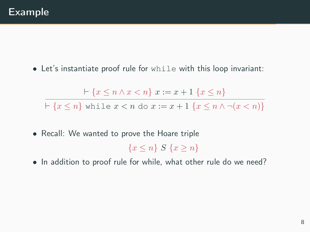• Let's instantiate proof rule for while with this loop invariant:

 $\vdash \{x \leq n \land x < n\} \ x := x + 1 \ \{x \leq n\}$  ${+}$  { $x \le n$ } while  $x < n$  do  $x := x + 1$  { $x \le n \wedge \neg(x < n)$ }

• Recall: We wanted to prove the Hoare triple

 ${x < n} S {x > n}$ 

• In addition to proof rule for while, what other rule do we need?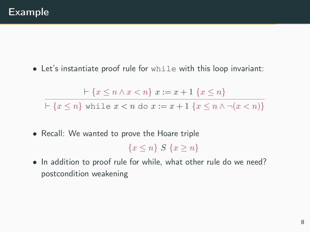• Let's instantiate proof rule for while with this loop invariant:

 $\vdash \{x \leq n \land x < n\} \ x := x + 1 \ \{x \leq n\}$  ${+}$  { $x < n$ } while  $x < n$  do  $x := x + 1$  { $x < n \wedge \neg(x < n)$ }

• Recall: We wanted to prove the Hoare triple

 ${x < n} S {x > n}$ 

• In addition to proof rule for while, what other rule do we need? postcondition weakening